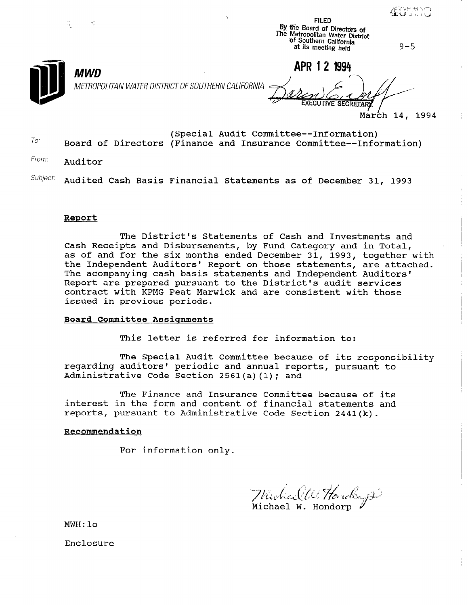FILED by the Board of Directors of u.ne Metropolitan Water District Of Southern Caiifomla at its meeting held

 $9 - 5$ 



METROPOLITAN WATER DISTRICT OF SOUTHERN CALIFORNIA

 $MWD$   $\overline{MPR}$  1 2 1994

March 14, 1994

- To: (Special Audit Committee--Information) Board of Directors (Finance and Insurance Committee--Information)
- From: Auditor
- Subject: Audited Cash Basis Financial Statements as of December 31, 1993

#### Report

The District's Statements of Cash and Investments and Cash Receipts and Disbursements, by Fund Category and in Total, as of and for the six months ended December 31, 1993, together with the Independent Auditors' Report on those statements, are attached. The acompanying cash basis statements and Independent Auditors' Report are prepared pursuant to the District's audit services contract with KPMG Peat Marwick and are consistent with those issued in previous periods.

#### Board Committee Assignments

This letter is referred for information to:

The Special Audit Committee because of its responsibility regarding auditors' periodic and annual reports, pursuant to Administrative Code Section 2561(a)(1); and

The Finance and Insurance Committee because of its interest in the form and content of financial statements and reports, pursuant to Administrative Code Section  $2441(k)$ .

#### Recommendation

For information only.

Michael W. Hender go

MWH:lo

Enclosure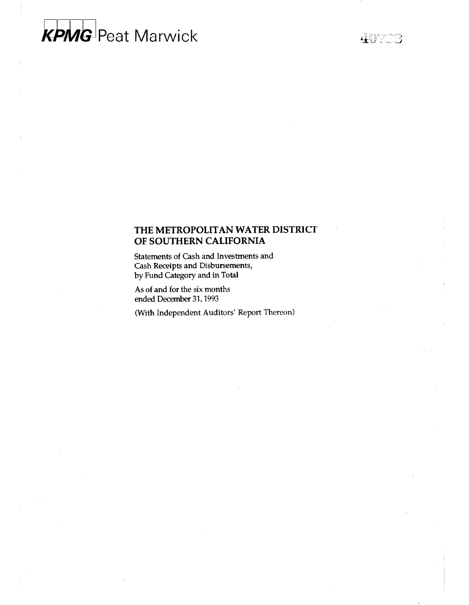# **KPMG** Peat Marwick

40703

#### THE METROPOLITAN WATER DISTRICT OF SOUTHERN CALIFORNIA

Statements of Cash and Investments and Cash Receipts and Disbursements, by Fund Category and in Total

As of and for the six months ended December 31,1993

(With Independent Auditors' Report Thereon)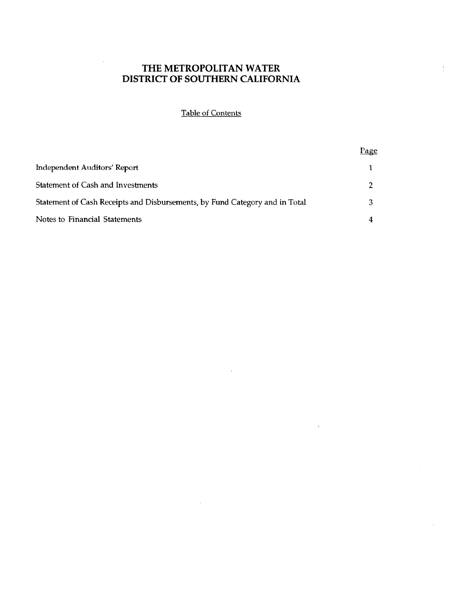$\frac{1}{\epsilon}$ 

## Table of Contents

|                                                                             | Page |
|-----------------------------------------------------------------------------|------|
| <b>Independent Auditors' Report</b>                                         |      |
| Statement of Cash and Investments                                           |      |
| Statement of Cash Receipts and Disbursements, by Fund Category and in Total |      |
| Notes to Financial Statements                                               |      |

 $\ddot{\phantom{a}}$ 

 $\mathbb{R}^2$ 

 $\bar{\star}$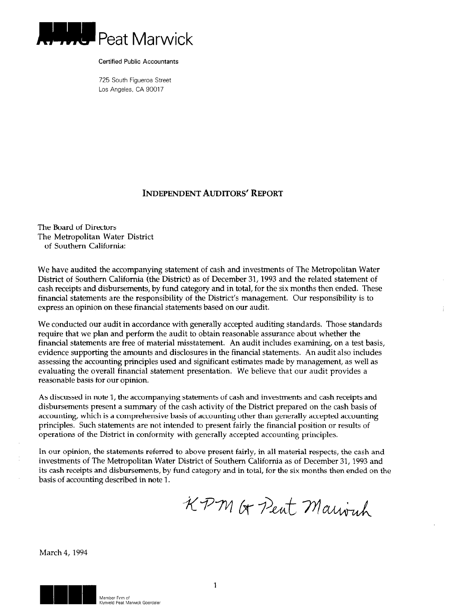

Certified Public Accountants

725 South Figueroa Street Los Angeles, CA 90017

#### INDEPENDENT AUDITORS' REPORT

The Board of Directors The Metropolitan Water District of Southern California:

We have audited the accompanying statement of cash and investments of The Metropolitan Water District of Southern California (the District) as of December 31, 1993 and the related statement of cash receipts and disbursements, by fund category and in total, for the six months then ended. These financial statements are the responsibility of the District's management. Our responsibility is to express an opinion on these financial statements based on our audit.

We conducted our audit in accordance with generally accepted auditing standards. Those standards require that we plan and perform the audit to obtain reasonable assurance about whether the financial statements are free of material misstatement. An audit includes examining, on a test basis, evidence supporting the amounts and disclosures in the financial statements. An audit also includes assessing the accounting principles used and significant estimates made by management, as well as evaluating the overall financial statement presentation. We believe that our audit provides a reasonable basis for our opinion.

As discussed in note 1, the accompanying statements of cash and investments and cash receipts and disbursements present a summary of the cash activity of the District prepared on the cash basis of accounting, which is a comprehensive basis of accounting other than generally accepted accounting principles. Such statements are not intended to present fairly the financial position or results of operations of the District in conformity with generally accepted accounting principles.

In our opinion, the statements referred to above present fairly, in all material respects, the cash and investments of The Metropolitan Water District of Southern California as of December 31,1993 and its cash receipts and disbursements, by fund category and in total, for the six months then ended on the basis of accounting described in note 1.

KPM Or Peut Marronh

March 4, 1994



1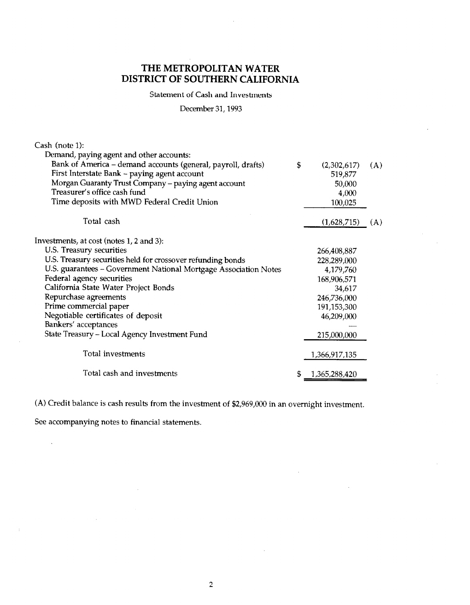Statement of Cash and Investments

December 31,1993

| Cash (note 1):                                                   |                     |     |
|------------------------------------------------------------------|---------------------|-----|
| Demand, paying agent and other accounts:                         |                     |     |
| Bank of America - demand accounts (general, payroll, drafts)     | \$<br>(2,302,617)   | (A) |
| First Interstate Bank - paying agent account                     | 519,877             |     |
| Morgan Guaranty Trust Company - paying agent account             | 50,000              |     |
| Treasurer's office cash fund                                     | 4,000               |     |
| Time deposits with MWD Federal Credit Union                      | 100,025             |     |
| Total cash                                                       | (1,628,715)         | (A) |
| Investments, at cost (notes 1, 2 and 3):                         |                     |     |
| U.S. Treasury securities                                         | 266,408,887         |     |
| U.S. Treasury securities held for crossover refunding bonds      | 228,289,000         |     |
| U.S. guarantees - Government National Mortgage Association Notes | 4,179,760           |     |
| Federal agency securities                                        | 168,906,571         |     |
| California State Water Project Bonds                             | 34,617              |     |
| Repurchase agreements                                            | 246,736,000         |     |
| Prime commercial paper                                           | 191,153,300         |     |
| Negotiable certificates of deposit                               | 46,209,000          |     |
| Bankers' acceptances                                             |                     |     |
| State Treasury - Local Agency Investment Fund                    | 215,000,000         |     |
| Total investments                                                | 1,366,917,135       |     |
| Total cash and investments                                       | \$<br>1,365,288,420 |     |

(A) Credit balance is cash results from the investment of \$2,969,000 in an overnight investment.

See accompanying notes to financial statements.

 $\ddot{\phantom{a}}$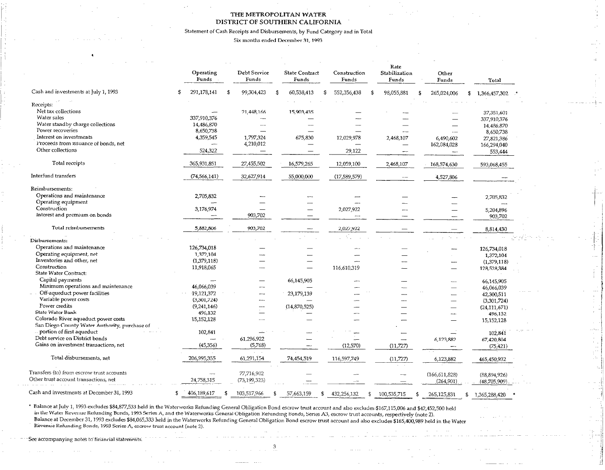Statement of Cash Receipts and Disbursements, by Fund Category and in Total

Six months ended December 31,1993

|                                                 | <b>Operating</b><br>Funds | Debt Service<br>Funds | <b>State Contract</b><br>Funds | Construction<br>Funds | Rate<br>Stabilization<br>Funds | Other<br>Funds               | <b>Total</b>                     |  |
|-------------------------------------------------|---------------------------|-----------------------|--------------------------------|-----------------------|--------------------------------|------------------------------|----------------------------------|--|
| Cash and investments at July 1, 1993            | 291,178,141<br>- \$       | 99,304,423            | 60,538,413<br>S                | 552,356,438<br>- \$   | 98,055,881                     | 265,024,006<br>\$            | 1,366,457,302                    |  |
| Receipts:                                       |                           |                       |                                |                       |                                |                              |                                  |  |
| Net tax collections                             |                           | 21,448,166            | 15,903,435                     |                       |                                |                              |                                  |  |
| Water sales                                     | 337,910,376               |                       |                                |                       |                                |                              | 37,351,601<br>337,910,376        |  |
| Water standby charge collections                | 14,486,870                |                       |                                |                       |                                |                              | 14,486,870                       |  |
| Power recoveries                                | 8,650,738                 |                       |                                |                       |                                |                              | 8,650,738                        |  |
| Interest on investments                         | 4,359,545                 | 1,797,324             | 675,830                        | 12,029,978            | 2,468,107                      | 6,490,602                    | 27,821,386                       |  |
| Proceeds from issuance of bonds, net            | $\overline{\phantom{a}}$  | 4,210,012             |                                |                       |                                | 162,084,028                  | 166,294,040                      |  |
| Other collections                               | 524,322                   |                       |                                | 29,122                | —                              |                              | 553,444                          |  |
|                                                 |                           |                       |                                |                       |                                |                              |                                  |  |
| Total receipts                                  | 365,931,851               | 27,455,502            | 16,579,265                     | 12,059,100            | 2,468,107                      | 168,574,630                  | 593,068,455                      |  |
| Interfund transfers                             | (74, 566, 141)            | 32,627,914            | 55,000,000                     | (17,589,579)          |                                | 4,527,806                    |                                  |  |
| Reimbursements:                                 |                           |                       |                                |                       |                                |                              |                                  |  |
| Operations and maintenance                      | 2,705,832                 |                       |                                |                       |                                |                              | 2,705,832                        |  |
| Operating equipment                             |                           |                       |                                |                       |                                |                              |                                  |  |
| Construction                                    | 3,176,974                 |                       |                                | 2,027,922             |                                |                              | 5,204,896                        |  |
| Interest and premium on bonds                   |                           | 903,702               |                                |                       |                                |                              | 903,702                          |  |
| Total reimbursements                            | 5,882,806                 | 903,702               |                                | 2,027,922             |                                |                              | 8,814,430                        |  |
| Disbursements:                                  |                           |                       |                                |                       |                                |                              |                                  |  |
| Operations and maintenance                      | 126,734,018               |                       |                                |                       |                                |                              |                                  |  |
| Operating equipment, net                        | 1,372,104                 |                       |                                |                       |                                |                              | 126,734,018<br>1,372,104         |  |
| Inventories and other, net                      | (1,379,118)               |                       |                                |                       |                                | $\overline{\phantom{a}}$     | (1,379,118)                      |  |
| Construction                                    | 11,918,065                |                       |                                | 116,610,319           |                                | $\overline{\phantom{0}}$     | 128,528,384                      |  |
| State Water Contract:                           |                           |                       |                                |                       |                                |                              |                                  |  |
| Capital payments                                |                           |                       | 66,145,905                     | -                     |                                | ----                         | 66,145,905                       |  |
| Minimum operations and maintenance              | 46,066,039                |                       |                                |                       |                                |                              | 46,066,039                       |  |
| Off-aqueduct power facilities                   | 19,121,372                |                       | 23,179,139                     |                       |                                |                              | 42,300,511                       |  |
| Variable power costs                            | (3,301,724)               |                       |                                |                       |                                | $\overline{\phantom{0}}$     | (3,301,724)                      |  |
| Power credits                                   | (9,241,146)               |                       | (14,870,525)                   |                       |                                |                              | (24, 111, 671)                   |  |
| State Water Bank                                | 496,132                   |                       |                                |                       |                                |                              | 496,132                          |  |
| Colorado River aqueduct power costs             | 15,152,128                |                       |                                |                       |                                |                              | 15,152,128                       |  |
| San Diego County Water Authority, purchase of   |                           |                       |                                |                       |                                |                              |                                  |  |
| portion of first aqueduct                       | 102,841                   |                       |                                | ---                   |                                |                              | 102,841                          |  |
| Debt service on District bonds                  | --                        | 61,296,922            |                                | لسيد                  | $\overline{\phantom{0}}$       | 6,123,882                    | 67,420,804                       |  |
| Gains on investment transactions, net           | (45,356)                  | (5,768)               |                                | (12,570)              | (11, 727)                      |                              | (75, 421)                        |  |
| Total disbursements, net                        | 206,995,355               | 61,291,154            | 74,454,519                     | 116,597,749           | (11, 727)                      | 6,123,882                    | 465,450,932                      |  |
| Transfers (to) from escrow trust accounts       | $\overline{\phantom{a}}$  | 77,716,902            |                                |                       |                                |                              |                                  |  |
| Other trust account transactions, net           | 24,758,315                | (73, 199, 323)        |                                |                       | $\overline{\phantom{a}}$       | (166, 611, 828)<br>(264,901) | (88,894,926)<br>$(48,705,909)$ . |  |
| Cash and investments at December 31, 1993<br>\$ | 406,189,617<br>-5         | 103,517,966           | 57,663,159<br>\$               | 432,256,132           | 100,535,715<br>-5              | 265,125,831<br>\$            | 1,365,288,420 *                  |  |

 $^{\circ}$  Balance at July 1, 1993 excludes \$84,877,533 held in the Waterworks Refunding General Obligation Bond escrow trust account and also excludes \$167,115,006 and \$42,452,533 held in the Waterworks Refunding General Obl in the Water Revenue Refunding Bonds, 1993 Series A, and the Waterworks General Obligation Refunding Bonds, Series A3, escrow trust accounts, respectively (note 2). Balance at December 31,193 excludes \$84,065,333 held in the Watenvorks Refunding General Obligation Bond escrow trust account and also excludes \$165,4@J,989 held in the Water

Revenue Refunding Bonds, 1993 Series A, escrow trust account (note 2).

See accompanying notes to financial statements.

,

3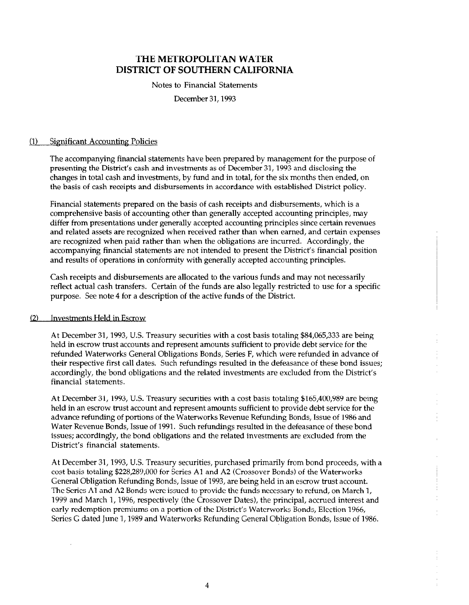Notes to Financial Statements

December 31,1993

#### [l) Significant Accounting Policies

The accompanying financial statements have been prepared by management for the purpose of presenting the District's cash and investments as of December 31,1993 and disclosing the changes in total cash and investments, by fund and in total, for the six months then ended, on the basis of cash receipts and disbursements in accordance with established District policy.

Financial statements prepared on the basis of cash receipts and disbursements, which is a comprehensive basis of accounting other than generally accepted accounting principles, may differ from presentations under generally accepted accounting principles since certain revenues and related assets are recognized when received rather than when earned, and certain expenses are recognized when paid rather than when the obligations are incurred. Accordingly, the accompanying financial statements are not intended to present the District's financial position and results of operations in conformity with generally accepted accounting principles.

Cash receipts and disbursements are allocated to the various funds and may not necessarily reflect actual cash transfers. Certain of the funds are also legally restricted to use for a specific purpose. See note 4 for a description of the active funds of the District.

#### 12) Investments Held in Escrow

At December 31, 1993, U.S. Treasury securities with a cost basis totaling \$84,065,333 are being held in escrow trust accounts and represent amounts sufficient to provide debt service for the refunded Waterworks General Obligations Bonds, Series F, which were refunded in advance of their respective first call dates. Such refundings resulted in the defeasance of these bond issues; accordingly, the bond obligations and the related investments are excluded from the District's financial statements.

At December 31,1993, U.S. Treasury securities with a cost basis totaling \$165,400,989 are being held in an escrow trust account and represent amounts sufficient to provide debt service for the advance refunding of portions of the Waterworks Revenue Refunding Bonds, Issue of 1986 and Water Revenue Bonds, Issue of 1991. Such refundings resulted in the defeasance of these bond issues; accordingly, the bond obligations and the related investments are excluded from the District's financial statements.

At December 31, 1993, U.S. Treasury securities, purchased primarily from bond proceeds, with a cost basis totaling \$228,289,000 for Series Al and A2 (Crossover Bonds) of the Waterworks General Obligation Refunding Bonds, Issue of 1993, are being held in an escrow trust account. The Series Al and A2 Bonds were issued to provide the funds necessary to refund, on March 1, 1999 and March 1, 1996, respectively (the Crossover Dates), the principal, accrued interest and early redemption premiums on a portion of the District's Waterworks Bonds, Election 1966, Series G dated June 1,1989 and Waterworks Refunding General Obligation Bonds, Issue of 1986.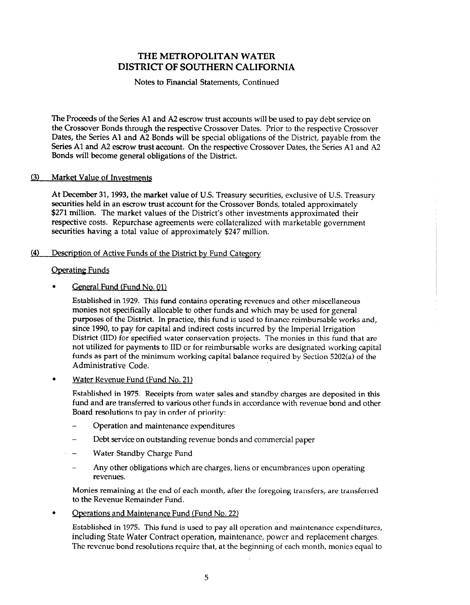#### Notes to Financial Statements, Continued

The Proceeds of the Series Al and A2 escrow trust accounts will be used to pay debt service on the Crossover Bonds through the respective Crossover Dates. Prior to the respective Crossover Dates, the Series Al and A2 Bonds will be special obligations of the District, payable from the Series Al and A2 escrow trust account. On the respective Crossover Dates, the Series Al and A2 Bonds will become general obligations of the District.

#### 13) Market Value of Investments

At December 31, 1993, the market value of U.S. Treasury securities, exclusive of U.S. Treasury securities held in an escrow trust account for the Crossover Bonds, totaled approximately \$271 million. The market values of the District's other investments approximated their respective costs. Repurchase agreements were collateralized with marketable government securities having a total value of approximately \$247 million.

#### (4) Description of Active Funds of the District by Fund Category

#### **Operating Funds**

#### General Fund (Fund No. 01)

Established in 1929. This fund contains operating revenues and other miscellaneous monies not specifically allocable to other funds and which may be used for general purposes of the District. In practice, this fund is used to finance reimbursable works and, since 1990, to pay for capital and indirect costs incurred by the Imperial Irrigation District (IID) for specified water conservation projects. The monies in this fund that are not utilized for payments to IID or for reimbursable works are designated working capital funds as part of the minimum working capital balance required by Section 5202(a) of the Administrative Code.

#### . Water Revenue Fund (Fund No. 21)

Established in 1975. Receipts from water sales and standby charges are deposited in 'this fund and are transferred to various other funds in accordance with revenue bond and other Board resolutions to pay in order of priority:

- Operation and maintenance expenditures
- Debt service on outstanding revenue bonds and commercial paper
- Water Standby Charge Fund
- Any other obligations which are charges, liens or encumbrances upon operating revenues.

Monies remaining at the end of each month, after the foregoing transfers, are transferred to the Revenue Remainder Fund.

• Operations and Maintenance Fund (Fund No. 22)

Established in 1975. This fund is used to pay all operation and maintenance expenditures, including State Water Contract operation, maintenance, power and replacement charges. The revenue bond resolutions require that, at the beginning of each month, monies equal to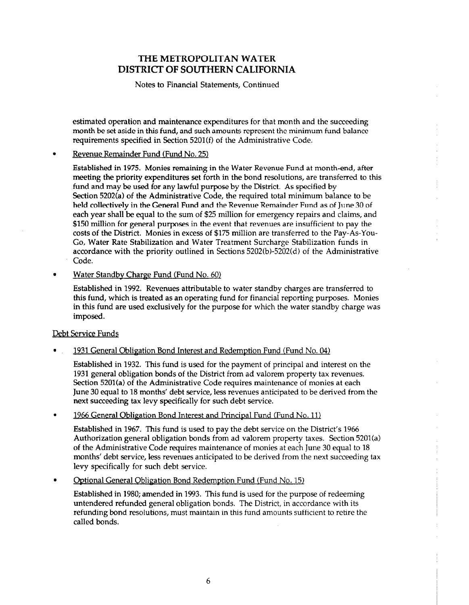Notes to Financial Statements, Continued

estimated operation and maintenance expenditures for that month and the succeeding month be set aside in this fund, and such amounts represent the minimum fund balance requirements specified in Section 5201(f) of the Administrative Code.

#### . Revenue Remainder Fund (Fund No. 25)

Established in 1975. Monies remaining in the Water Revenue Fund at month-end, after meeting the priority expenditures set forth in the bond resolutions, are transferred to this fund and may be used for any lawful purpose by the District. As specified by Section 5202(a) of the Administrative Code, the required total minimum balance to be held collectively in the General Fund and the Revenue Remainder Fund as of June 30 of each year shall be equal to the sum of \$25 million for emergency repairs and claims, and \$150 million for general purposes in the event that revenues are insufficient to pay the costs of the District. Monies in excess of \$175 million are transferred to the Pay-As-You-Go, Water Rate Stabilization and Water Treatment Surcharge Stabilization funds in accordance with the priority outlined in Sections 5202(b)-5202(d) of the Administrative Code.

#### Water Standby Charge Fund (Fund No. 60)

Established in 1992. Revenues attributable to water standby charges are transferred to this fund, which is treated as an operating fund for financial reporting purposes. Monies in this fund are used exclusively for the purpose for which the water standby charge was imposed.

#### Debt Service Funds

#### 1931 General Obligation Bond Interest and Redemption Fund (Fund No. 04)

Established in 1932. This fund is used for the payment of principal and interest on the 1931 general obligation bonds of the District from ad valorem property tax revenues. Section 5201(a) of the Administrative Code requires maintenance of monies at each June 30 equal to 18 months' debt service, less revenues anticipated to be derived from the next succeeding tax levy specifically for such debt service.

#### . 1966 General Obligation Bond Interest and Principal Fund (Fund No. 11)

Established in 1967. This fund is used to pay the debt service on the District's 1966 Authorization general obligation bonds from ad valorem property taxes. Section 5201(a) of the Administrative Code requires maintenance of monies at each June 30 equal to 18 months' debt service, less revenues anticipated to be derived from the next succeeding tax levy specifically for such debt service.

Optional General Obligation Bond Redemption Fund (Fund No. 15)

Established in 1980; amended in 1993. This fund is used for the purpose of redeeming untendered refunded general obligation bonds. The District, in accordance with its refunding bond resolutions, must maintain in this fund amounts sufficient to retire the called bonds.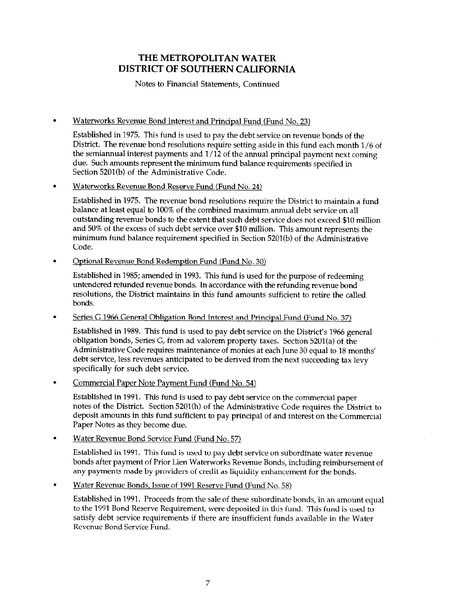Notes to Financial Statements, Continued

#### • Waterworks Revenue Bond Interest and Principal Fund (Fund No. 23)

Established in 1975. This fund is used to pay the debt service on revenue bonds of the District. The revenue bond resolutions require setting aside in this fund each month l/6 of the semiannual interest payments and  $1/12$  of the annual principal payment next coming due. Such amounts represent the minimum fund balance requirements specified in Section 5201(b) of the Administrative Code.

#### . Waterworks Revenue Bond Reserve Fund (Fund No. 24)

Established in 1975. The revenue bond resolutions require the District to maintain a fund balance at least equal to 100% of the combined maximum annual debt service on all outstanding revenue bonds to the extent that such debt service does not exceed \$10 million and 50% of the excess of such debt service over \$10 million. This amount represents the minimum fund balance requirement specified in Section 5201(b) of the Administrative Code.

#### . Optional Revenue Bond Redemption Fund (Fund No. 30)

Established in 1985; amended in 1993. This fund is used for the purpose of redeeming untendered refunded revenue bonds. In accordance with the refunding revenue bond resolutions, the District maintains in this fund amounts sufficient to retire the called bonds.

#### Series G 1966 General Obligation Bond Interest and Principal Fund (Fund No. 37)

Established in 1989. This fund is used to pay debt service on the District's 1966 general obligation bonds, Series G, from ad valorem property taxes. Section 5201(a) of the Administrative Code requires maintenance of monies at each June 30 equal to 18 months' debt service, less revenues anticipated to be derived from the next succeeding tax levy specifically for such debt service.

#### . Commercial Paper Note Pavment Fund (Fund No. 54)

Established in 1991. This fund is used to pay debt service on the commercial paper notes of the District. Section 5201(h) of the Administrative Code requires the District to deposit amounts in this fund sufficient to pay principal of and interest on the Commercial Paper Notes as they become due.

#### . Water Revenue Bond Service Fund (Fund No. 57)

Established in 1991. This fund is used to pay debt service on subordinate water revenue bonds after payment of Prior Lien Waterworks Revenue Bonds, including reimbursement of any payments made by providers of credit as liquidity enhancement for the bonds.

#### . Water Revenue Bonds, Issue of 1991 Reserve Fund (Fund No. 58)

Established in 1991. Proceeds from the sale of these subordinate bonds, in an amount equal to the 1991 Bond Reserve Requirement, were deposited in this fund. This fund is used to satisfy debt service requirements if there are insufficient funds available in the Water Revenue Bond Service Fund.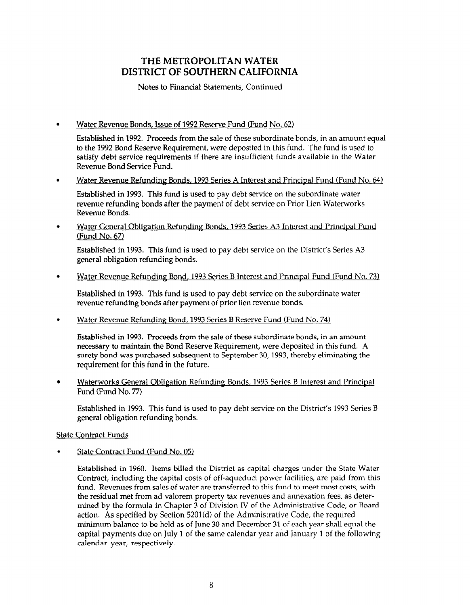Notes to Financial Statements, Continued

Water Revenue Bonds, Issue of 1992 Reserve Fund (Fund No. 62)

Established in 1992. Proceeds from the sale of these subordinate bonds, in an amount equal to the 1992 Bond Reserve Requirement, were deposited in this fund. The fund is used to satisfy debt service requirements if there are insufficient funds available in the Water Revenue Bond Service Fund.

Water Revenue Refunding Bonds, 1993 Series A Interest and Principal Fund (Fund No. 64)  $\bullet$ 

Established in 1993. This fund is used to pay debt service on the subordinate water revenue refunding bonds after the payment of debt service on Prior Lien Waterworks Revenue Bonds.

Water General Obligation Refunding Bonds, 1993 Series A3 Interest and Princibal Fund  $\bullet$  $(Fund No. 67)$ 

Established in 1993. This fund is used to pay debt service on the District's Series A3 general obligation refunding bonds.

Water Revenue Refunding Bond, 1993 Series B Interest and Princioal Fund (Fund No. 73)

Established in 1993. This fund is used to pay debt service on the subordinate water  $\epsilon$ stablished in 1995. This fund is used to pay debt service on the s

Water Revenue Refunding Bond, 1993 Series B Reserve Fund (Fund No. 74)  $\bullet$ 

established in 1993. Proceeds from the sail of these subordinate bonds, in an amount necessary to maintain the Bond Reserve Requirement, were deposited in this fund. A surety bond was purchased subsequent to September 30, 1993, thereby eliminating the requirement for this fund in the future.

Waterworks General Obligation Refunding Bonds, 1993 Series B Interest and Principal Fund (Fund No. 77)

Established in 1993. This fund is used to pay debt service on the District's 1993 Series B general obligation refunding bonds.

#### **State Contract Funds**

State Contract Fund (Fund No. 05)

Established in 1960. Items billed the District as capital charges under the State Water Contract, including the capital costs of off-aqueduct power facilities, are paid from this fund. Revenues from sales of water are transferred to this fund to meet most costs, with the residual met from ad valorem property tax revenues and annexation fees, as determined by the formula in Chapter 3 of Division IV of the Administrative Code, or Board action. As specified by Section  $5201(d)$  of the Administrative Code, the required minimum balance to be held as of June 30 and December 31 of each year shall equal the capital payments due on July 1 of the same calendar year and January 1 of the following calendar year, respectively.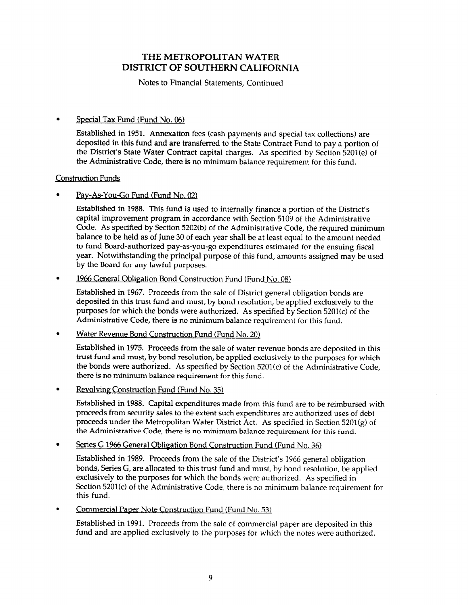Notes to Financial Statements, Continued

#### . Special Tax Fund (Fund No. 06)

Established in 1951. Annexation fees (cash payments and special tax collections) are deposited in this fund and are transferred to the State Contract Fund to pay a portion of the District's State Water Contract capital charges. As specified by Section 5201(e) of the Administrative Code, there is no minimum balance requirement for this fund.

#### Construction Funds

#### Pay-As-You-Go Fund (Fund No. 02)

Established in 1988. This fund is used to internally finance a portion of the District's capital improvement program in accordance with Section 5109 of the Administrative Code. As specified by Section 5202(b) of the Administrative Code, the required minimum balance to be held as of June 30 of each year shall be at least equal to the amount needed to fund Board-authorized pay-as-you-go expenditures estimated for the ensuing fiscal year. Notwithstanding the principal purpose of this fund, amounts assigned may be used by the Board for any lawful purposes.

#### 1966 General Obligation Bond Construction Fund (Fund No. 08)  $\bullet$

Established in 1967. Proceeds from the sale of District general obligation bonds are deposited in this trust fund and must, by bond resolution, be applied exclusively to the purposes for which the bonds were authorized. As specified by Section 5201(c) of the Administrative Code, there is no minimum balance requirement for this fund.

#### $\bullet$ Water Revenue Bond Construction Fund (Fund No. 20)

Established in 1975. Proceeds from the sale of water revenue bonds are deposited in this trust fund and must, by bond resolution, be applied exclusively to the purposes for which the bonds were authorized. As specified by Section 5201(c) of the Administrative Code, there is no minimum balance requirement for this fund.

#### Revolving Construction Fund (Fund No. 35)  $\bullet$

Established in 1988. Capital expenditures made from this fund are to be reimbursed with proceeds from security sales to the extent such expenditures are authorized uses of debt proceeds under the Metropolitan Water District Act. As specified in Section 5201(g) of the Administrative Code, there is no minimum balance requirement for this fund.

#### Series G 1966 General Obligation Bond Construction Fund (Fund No. 36)

Established in 1989. Proceeds from the sale of the District's 1966 general obligation bonds, Series G, are allocated to this trust fund and must, by bond resolution, be applied exclusively to the purposes for which the bonds were authorized. As specified in Section 5201(c) of the Administrative Code, there is no minimum balance requirement for this fund.

#### Commercial Paper Note Construction Fund (Fund No. 53)

Established in 1991. Proceeds from the sale of commercial paper are deposited in this fund and are applied exclusively to the purposes for which the notes were authorized.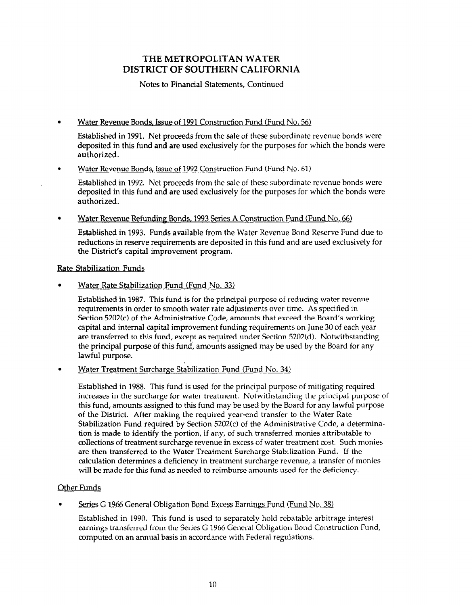#### Notes to Financial Statements, Continued

#### . Water Revenue Bonds, Issue of 1991 Construction Fund (Fund No. 56)

Established in 1991. Net proceeds from the sale of these subordinate revenue bonds were deposited in this fund and are used exclusively for the purposes for which the bonds were authorized.

#### . Water Revenue Bonds, Issue of 1992 Construction Fund (Fund No. 61)

Established in 1992. Net proceeds from the sale of these subordinate revenue bonds were deposited in this fund and are used exclusively for the purposes for which the bonds were authorized.

Water Revenue Refunding Bonds, 1993 Series A Construction Fund (Fund No. 66)

Established in 1993. Funds available from the Water Revenue Bond Reserve Fund due to reductions in reserve requirements are deposited in this fund and are used exclusively for the District's capital improvement program.

#### Rate Stabilization Funds

. Water Rate Stabilization Fund (Fund No. 33)

Established in 1987. This fund is for the principal purpose of reducing water revenue requirements in 1907. This rund is for the principal purpose of requiring water revel requirements in order to smooth water rate adjustments over time. As specified in Section 5202(c) of the Administrative Code, amounts that exceed the Board's working capital and internal capital improvement funding requirements on June 30 of each year are transferred to this fund, except as required under Section 5202(d). Notwithstanding the principal purpose of this fund, amounts assigned may be used by the Board for any lawful purpose.

# . Water Treatment Surcharge Stabilization Fund (Fund No. 342

Established in 1988. This fund is used for the principal purpose of mitigating required increases in the surcharge for water treatment. Notwithstanding the principal purpose of this fund, amounts assigned to this fund may be used by the Board for any lawful purpose of the District. After making the required year-end transfer to the Water Rate Stabilization Fund required by Section  $5202(c)$  of the Administrative Code, a determination is made to identify the portion, if any, of such transferred monies attributable to collections of treatment surcharge revenue in excess of water treatment cost. Such monies are then transferred to the Water Treatment Surcharge Stabilization Fund. If the calculation determines a deficiency in treatment surcharge revenue, a transfer of monies will be made for this fund as needed to reimburse amounts used for the deficiency.

# . Series G 1966 General Obliques Earnings Fund No. 38,  $\frac{1}{2}$  and  $\frac{1}{2}$  and  $\frac{1}{2}$  and  $\frac{1}{2}$  and  $\frac{1}{2}$  and  $\frac{1}{2}$  and  $\frac{1}{2}$  and  $\frac{1}{2}$  and  $\frac{1}{2}$  and  $\frac{1}{2}$  and  $\frac{1}{2}$  and  $\frac{1}{2}$  an

#### Series G 1966 General Obligation Bond Excess Earnings Fund (Fund No. 38)

Established in 1990. This fund is used to separately hold rebatable arbitrage interest earnings transferred from the Series G 1966 General Obligation Bond Construction Fund, computed on an annual basis in accordance with Federal regulations.